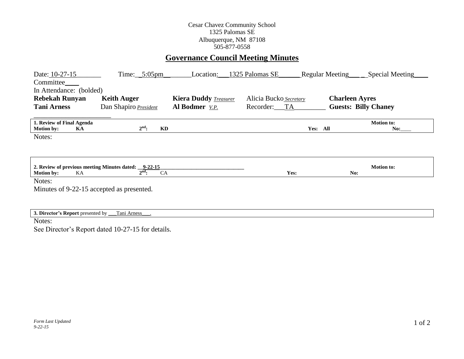### Cesar Chavez Community School 1325 Palomas SE Albuquerque, NM 87108 505-877-0558

# **Governance Council Meeting Minutes**

| Date: 10-27-15<br>Committee_<br>In Attendance: (bolded)                         | $Time:$ 5:05pm                               | Location:                    | 1325 Palomas SE        | Special Meeting<br><b>Regular Meeting</b> |  |
|---------------------------------------------------------------------------------|----------------------------------------------|------------------------------|------------------------|-------------------------------------------|--|
| <b>Rebekah Runyan</b>                                                           | <b>Keith Auger</b>                           | <b>Kiera Duddy Treasurer</b> | Alicia Bucko Secretary | <b>Charleen Ayres</b>                     |  |
| <b>Tani Arness</b>                                                              | Dan Shapiro President                        | <b>Al Bodmer</b> <i>V.P.</i> | Recorder: TA           | <b>Guests: Billy Chaney</b>               |  |
| 1. Review of Final Agenda<br><b>Motion by:</b><br>KA                            | $2^{\text{nd}}$ :<br>KD                      |                              | Yes: All               | <b>Motion to:</b><br>No:                  |  |
| Notes:                                                                          |                                              |                              |                        |                                           |  |
|                                                                                 |                                              |                              |                        |                                           |  |
| 2. Review of previous meeting Minutes dated: 9-22-15<br><b>Motion by:</b><br>KA | $2^{\overline{\text{nd}}}\cdot$<br><b>CA</b> |                              | Yes:                   | <b>Motion to:</b><br>No:                  |  |
| Notes:                                                                          |                                              |                              |                        |                                           |  |
| Minutes of 9-22-15 accepted as presented.                                       |                                              |                              |                        |                                           |  |
|                                                                                 |                                              |                              |                        |                                           |  |
| 3. Director's Report presented by                                               | Tani Arness                                  |                              |                        |                                           |  |
| Notes:                                                                          |                                              |                              |                        |                                           |  |

See Director's Report dated 10-27-15 for details.